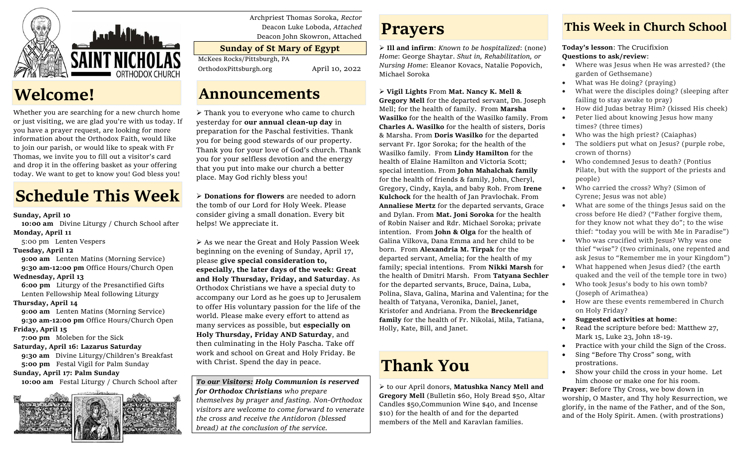

## **Welcome!**

Whether you are searching for a new church home or just visiting, we are glad you're with us today. If you have a prayer request, are looking for more information about the Orthodox Faith, would like to join our parish, or would like to speak with Fr Thomas, we invite you to fill out a visitor's card and drop it in the offering basket as your offering today. We want to get to know you! God bless you!

# **Schedule This Week**

#### **Sunday, April 10**

 **10:00 am** Divine Liturgy / Church School after **Monday, April 11**

- 5:00 pm Lenten Vespers
- **Tuesday, April 12**

**9:00 am** Lenten Matins (Morning Service) **9:30 am-12:00 pm** Office Hours/Church Open

#### **Wednesday, April 13**

 **6:00 pm** Liturgy of the Presanctified Gifts Lenten Fellowship Meal following Liturgy

#### **Thursday, April 14**

**9:00 am** Lenten Matins (Morning Service) **9:30 am-12:00 pm** Office Hours/Church Open **Friday, April 15**

 **7:00 pm** Moleben for the Sick **Saturday, April 16: Lazarus Saturday**

 **9:30 am** Divine Liturgy/Children's Breakfast  **5:00 pm** Festal Vigil for Palm Sunday

#### **Sunday, April 17: Palm Sunday**

 **10:00 am** Festal Liturgy / Church School after



Archpriest Thomas Soroka, *Rector* Deacon Luke Loboda, *Attached* Deacon John Skowron, Attached

### **Sunday of St Mary of Egypt**

McKees Rocks/Pittsburgh, PA

OrthodoxPittsburgh.org April 10, 2022

### **Announcements**

➢ Thank you to everyone who came to church yesterday for **our annual clean-up day** in preparation for the Paschal festivities. Thank you for being good stewards of our property. Thank you for your love of God's church. Thank you for your selfless devotion and the energy that you put into make our church a better place. May God richly bless you!

➢ **Donations for flowers** are needed to adorn the tomb of our Lord for Holy Week. Please consider giving a small donation. Every bit helps! We appreciate it.

➢ As we near the Great and Holy Passion Week beginning on the evening of Sunday, April 17, please **give special consideration to, especially, the later days of the week: Great and Holy Thursday, Friday, and Saturday**. As Orthodox Christians we have a special duty to accompany our Lord as he goes up to Jerusalem to offer His voluntary passion for the life of the world. Please make every effort to attend as many services as possible, but **especially on Holy Thursday, Friday AND Saturday**, and then culminating in the Holy Pascha. Take off work and school on Great and Holy Friday. Be with Christ. Spend the day in peace.

#### *To our Visitors: Holy Communion is reserved for Orthodox Christians who prepare themselves by prayer and fasting. Non-Orthodox visitors are welcome to come forward to venerate the cross and receive the Antidoron (blessed bread) at the conclusion of the service.*

## **Prayers**

➢ **Ill and infirm**: *Known to be hospitalized*: (none) *Home*: George Shaytar. *Shut in, Rehabilitation, or Nursing Home*: Eleanor Kovacs, Natalie Popovich, Michael Soroka

➢ **Vigil Lights** From **Mat. Nancy K. Mell & Gregory Mell** for the departed servant, Dn. Joseph Mell; for the health of family. From **Marsha Wasilko** for the health of the Wasilko family. From **Charles A. Wasilko** for the health of sisters, Doris & Marsha. From **Doris Wasilko** for the departed servant Fr. Igor Soroka; for the health of the Wasilko family. From **Lindy Hamilton** for the health of Elaine Hamilton and Victoria Scott; special intention. From **John Mahalchak family**  for the health of friends & family, John, Cheryl, Gregory, Cindy, Kayla, and baby Roh. From **Irene Kulchock** for the health of Jan Pravlochak. From **Annaliese Mertz** for the departed servants, Grace and Dylan. From **Mat. Joni Soroka** for the health of Robin Naiser and Rdr. Michael Soroka; private intention. From **John & Olga** for the health of Galina Vilkova, Dana Emma and her child to be born. From **Alexandria M. Tirpak** for the departed servant, Amelia; for the health of my family; special intentions. From **Nikki Marsh** for the health of Dmitri Marsh. From **Tatyana Sechler**  for the departed servants, Bruce, Daina, Luba, Polina, Slava, Galina, Marina and Valentina; for the health of Tatyana, Veronika, Daniel, Janet, Kristofer and Andriana. From the **Breckenridge family** for the health of Fr. Nikolai, Mila, Tatiana, Holly, Kate, Bill, and Janet.

# **Thank You**

➢ to our April donors, **Matushka Nancy Mell and Gregory Mell** (Bulletin \$60, Holy Bread \$50, Altar Candles \$50,Communion Wine \$40, and Incense \$10) for the health of and for the departed members of the Mell and Karavlan families.

### **This Week in Church School**

**Today's lesson**: The Crucifixion **Questions to ask/review**:

- Where was Jesus when He was arrested? (the garden of Gethsemane)
- What was He doing? (praying)
- What were the disciples doing? (sleeping after failing to stay awake to pray)
- How did Judas betray Him? (kissed His cheek)
- Peter lied about knowing Jesus how many times? (three times)
- Who was the high priest? (Caiaphas)
- The soldiers put what on Jesus? (purple robe, crown of thorns)
- Who condemned Jesus to death? (Pontius Pilate, but with the support of the priests and people)
- Who carried the cross? Why? (Simon of Cyrene; Jesus was not able)
- What are some of the things Jesus said on the cross before He died? ("Father forgive them, for they know not what they do"; to the wise thief: "today you will be with Me in Paradise")
- Who was crucified with Jesus? Why was one thief "wise"? (two criminals, one repented and ask Jesus to "Remember me in your Kingdom")
- What happened when Jesus died? (the earth quaked and the veil of the temple tore in two)
- Who took Jesus's body to his own tomb? (Joseph of Arimathea)
- How are these events remembered in Church on Holy Friday?
- **Suggested activities at home**:
- Read the scripture before bed: Matthew 27, Mark 15, Luke 23, John 18-19.
- Practice with your child the Sign of the Cross.
- Sing "Before Thy Cross" song, with prostrations.
- Show your child the cross in your home. Let him choose or make one for his room.

**Prayer**: Before Thy Cross, we bow down in worship, O Master, and Thy holy Resurrection, we glorify, in the name of the Father, and of the Son, and of the Holy Spirit. Amen. (with prostrations)